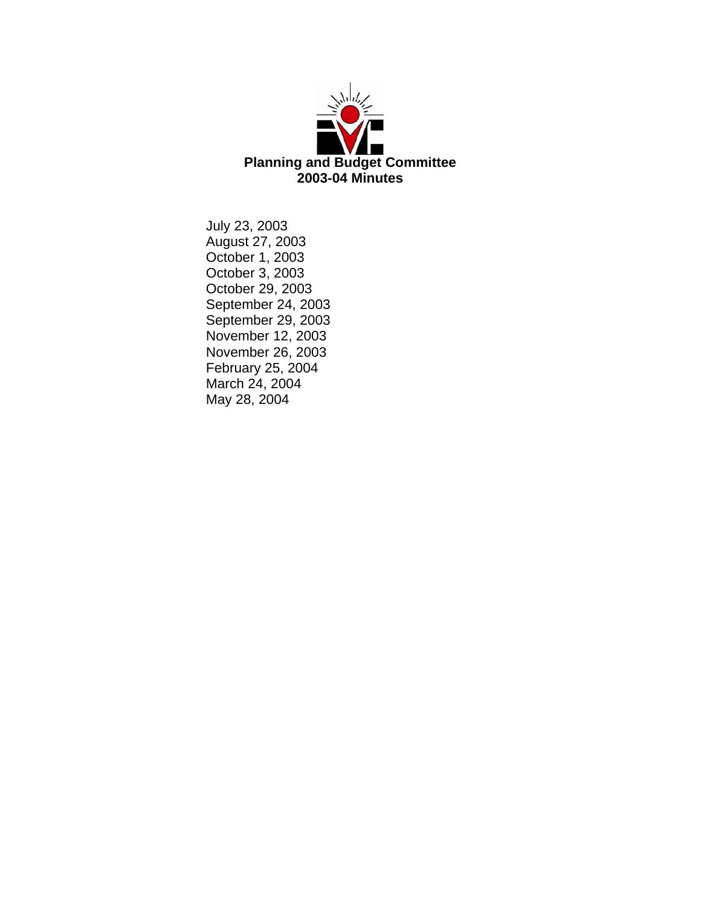

July 23, 2003 August 27, 2003 October 1, 2003 October 3, 2003 October 29, 2003 September 24, 2003 September 29, 2003 November 12, 2003 November 26, 2003 February 25, 2004 March 24, 2004 May 28, 2004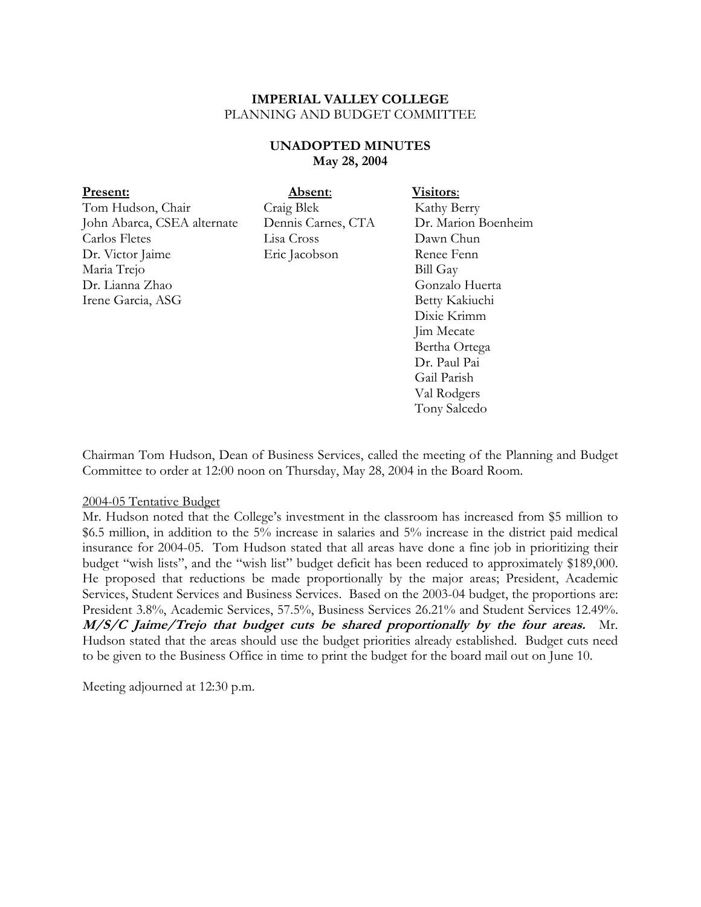# **UNADOPTED MINUTES May 28, 2004**

| <b>Present:</b>             | Absent:            | Visitors:           |
|-----------------------------|--------------------|---------------------|
| Tom Hudson, Chair           | Craig Blek         | Kathy Berry         |
| John Abarca, CSEA alternate | Dennis Carnes, CTA | Dr. Marion Boenheim |
| Carlos Fletes               | Lisa Cross         | Dawn Chun           |
| Dr. Victor Jaime            | Eric Jacobson      | Renee Fenn          |
| Maria Trejo                 |                    | <b>Bill Gay</b>     |
| Dr. Lianna Zhao             |                    | Gonzalo Huerta      |
| Irene Garcia, ASG           |                    | Betty Kakiuchi      |
|                             |                    | Dixie Krimm         |
|                             |                    | Jim Mecate          |
|                             |                    | Bertha Ortega       |
|                             |                    | Dr. Paul Pai        |

Chairman Tom Hudson, Dean of Business Services, called the meeting of the Planning and Budget Committee to order at 12:00 noon on Thursday, May 28, 2004 in the Board Room.

Gail Parish Val Rodgers Tony Salcedo

#### 2004-05 Tentative Budget

Mr. Hudson noted that the College's investment in the classroom has increased from \$5 million to \$6.5 million, in addition to the 5% increase in salaries and 5% increase in the district paid medical insurance for 2004-05. Tom Hudson stated that all areas have done a fine job in prioritizing their budget "wish lists", and the "wish list" budget deficit has been reduced to approximately \$189,000. He proposed that reductions be made proportionally by the major areas; President, Academic Services, Student Services and Business Services. Based on the 2003-04 budget, the proportions are: President 3.8%, Academic Services, 57.5%, Business Services 26.21% and Student Services 12.49%. **M/S/C Jaime/Trejo that budget cuts be shared proportionally by the four areas.** Mr. Hudson stated that the areas should use the budget priorities already established. Budget cuts need to be given to the Business Office in time to print the budget for the board mail out on June 10.

Meeting adjourned at 12:30 p.m.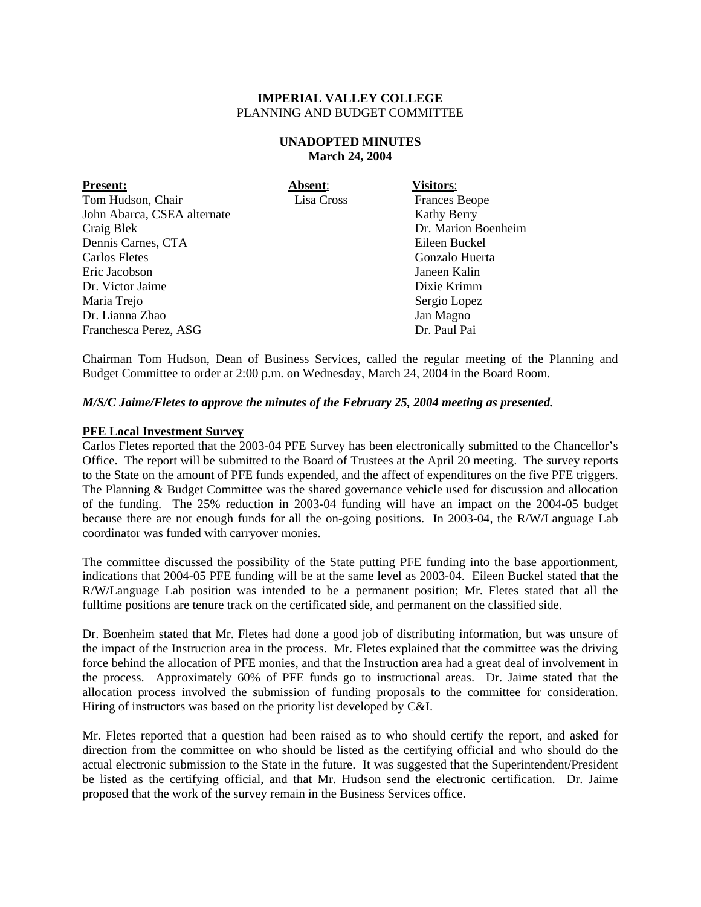### **UNADOPTED MINUTES March 24, 2004**

| <b>Present:</b>             | Absent:    | <b>Visitors:</b>     |
|-----------------------------|------------|----------------------|
| Tom Hudson, Chair           | Lisa Cross | <b>Frances Beope</b> |
| John Abarca, CSEA alternate |            | <b>Kathy Berry</b>   |
| Craig Blek                  |            | Dr. Marion Boenheim  |
| Dennis Carnes, CTA          |            | Eileen Buckel        |
| Carlos Fletes               |            | Gonzalo Huerta       |
| Eric Jacobson               |            | Janeen Kalin         |
| Dr. Victor Jaime            |            | Dixie Krimm          |
| Maria Trejo                 |            | Sergio Lopez         |
| Dr. Lianna Zhao             |            | Jan Magno            |
| Franchesca Perez, ASG       |            | Dr. Paul Pai         |

Chairman Tom Hudson, Dean of Business Services, called the regular meeting of the Planning and Budget Committee to order at 2:00 p.m. on Wednesday, March 24, 2004 in the Board Room.

# *M/S/C Jaime/Fletes to approve the minutes of the February 25, 2004 meeting as presented.*

### **PFE Local Investment Survey**

Carlos Fletes reported that the 2003-04 PFE Survey has been electronically submitted to the Chancellor's Office. The report will be submitted to the Board of Trustees at the April 20 meeting. The survey reports to the State on the amount of PFE funds expended, and the affect of expenditures on the five PFE triggers. The Planning & Budget Committee was the shared governance vehicle used for discussion and allocation of the funding. The 25% reduction in 2003-04 funding will have an impact on the 2004-05 budget because there are not enough funds for all the on-going positions. In 2003-04, the R/W/Language Lab coordinator was funded with carryover monies.

The committee discussed the possibility of the State putting PFE funding into the base apportionment, indications that 2004-05 PFE funding will be at the same level as 2003-04. Eileen Buckel stated that the R/W/Language Lab position was intended to be a permanent position; Mr. Fletes stated that all the fulltime positions are tenure track on the certificated side, and permanent on the classified side.

Dr. Boenheim stated that Mr. Fletes had done a good job of distributing information, but was unsure of the impact of the Instruction area in the process. Mr. Fletes explained that the committee was the driving force behind the allocation of PFE monies, and that the Instruction area had a great deal of involvement in the process. Approximately 60% of PFE funds go to instructional areas. Dr. Jaime stated that the allocation process involved the submission of funding proposals to the committee for consideration. Hiring of instructors was based on the priority list developed by C&I.

Mr. Fletes reported that a question had been raised as to who should certify the report, and asked for direction from the committee on who should be listed as the certifying official and who should do the actual electronic submission to the State in the future. It was suggested that the Superintendent/President be listed as the certifying official, and that Mr. Hudson send the electronic certification. Dr. Jaime proposed that the work of the survey remain in the Business Services office.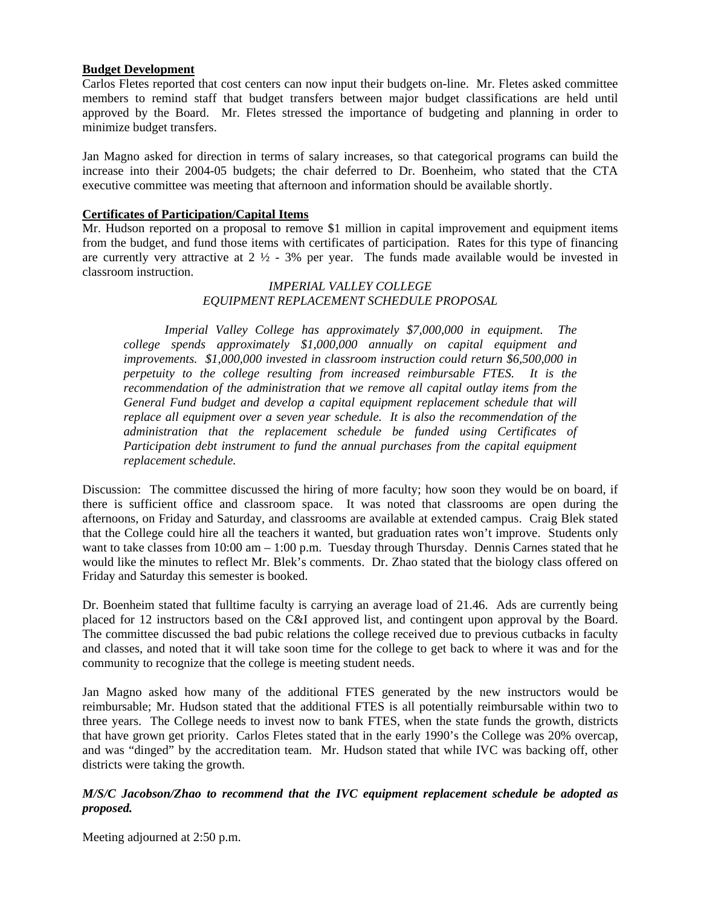# **Budget Development**

Carlos Fletes reported that cost centers can now input their budgets on-line. Mr. Fletes asked committee members to remind staff that budget transfers between major budget classifications are held until approved by the Board. Mr. Fletes stressed the importance of budgeting and planning in order to minimize budget transfers.

Jan Magno asked for direction in terms of salary increases, so that categorical programs can build the increase into their 2004-05 budgets; the chair deferred to Dr. Boenheim, who stated that the CTA executive committee was meeting that afternoon and information should be available shortly.

### **Certificates of Participation/Capital Items**

Mr. Hudson reported on a proposal to remove \$1 million in capital improvement and equipment items from the budget, and fund those items with certificates of participation. Rates for this type of financing are currently very attractive at  $2 \frac{1}{2}$  - 3% per year. The funds made available would be invested in classroom instruction.

### *IMPERIAL VALLEY COLLEGE EQUIPMENT REPLACEMENT SCHEDULE PROPOSAL*

*Imperial Valley College has approximately \$7,000,000 in equipment. The college spends approximately \$1,000,000 annually on capital equipment and improvements. \$1,000,000 invested in classroom instruction could return \$6,500,000 in perpetuity to the college resulting from increased reimbursable FTES. It is the recommendation of the administration that we remove all capital outlay items from the General Fund budget and develop a capital equipment replacement schedule that will replace all equipment over a seven year schedule. It is also the recommendation of the administration that the replacement schedule be funded using Certificates of Participation debt instrument to fund the annual purchases from the capital equipment replacement schedule.* 

Discussion: The committee discussed the hiring of more faculty; how soon they would be on board, if there is sufficient office and classroom space. It was noted that classrooms are open during the afternoons, on Friday and Saturday, and classrooms are available at extended campus. Craig Blek stated that the College could hire all the teachers it wanted, but graduation rates won't improve. Students only want to take classes from  $10:00$  am  $-1:00$  p.m. Tuesday through Thursday. Dennis Carnes stated that he would like the minutes to reflect Mr. Blek's comments. Dr. Zhao stated that the biology class offered on Friday and Saturday this semester is booked.

Dr. Boenheim stated that fulltime faculty is carrying an average load of 21.46. Ads are currently being placed for 12 instructors based on the C&I approved list, and contingent upon approval by the Board. The committee discussed the bad pubic relations the college received due to previous cutbacks in faculty and classes, and noted that it will take soon time for the college to get back to where it was and for the community to recognize that the college is meeting student needs.

Jan Magno asked how many of the additional FTES generated by the new instructors would be reimbursable; Mr. Hudson stated that the additional FTES is all potentially reimbursable within two to three years. The College needs to invest now to bank FTES, when the state funds the growth, districts that have grown get priority. Carlos Fletes stated that in the early 1990's the College was 20% overcap, and was "dinged" by the accreditation team. Mr. Hudson stated that while IVC was backing off, other districts were taking the growth.

# *M/S/C Jacobson/Zhao to recommend that the IVC equipment replacement schedule be adopted as proposed.*

Meeting adjourned at 2:50 p.m.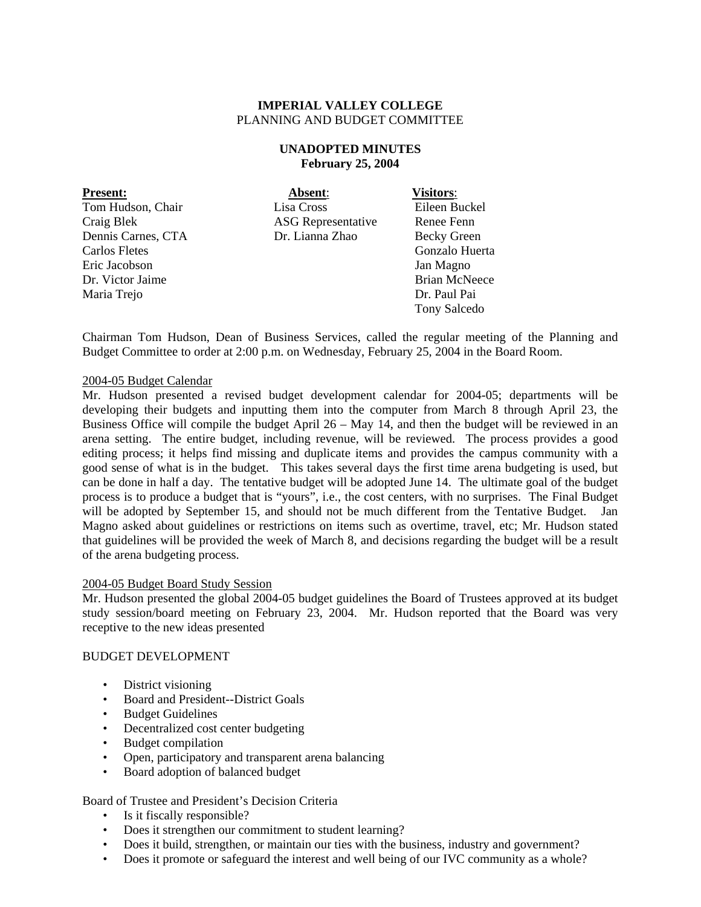### **UNADOPTED MINUTES February 25, 2004**

| <b>Present:</b>    | Absent:                   | <b>Visitors:</b>     |
|--------------------|---------------------------|----------------------|
| Tom Hudson, Chair  | Lisa Cross                | Eileen Buckel        |
| Craig Blek         | <b>ASG</b> Representative | Renee Fenn           |
| Dennis Carnes, CTA | Dr. Lianna Zhao           | <b>Becky Green</b>   |
| Carlos Fletes      |                           | Gonzalo Huerta       |
| Eric Jacobson      |                           | Jan Magno            |
| Dr. Victor Jaime   |                           | <b>Brian McNeece</b> |
| Maria Trejo        |                           | Dr. Paul Pai         |
|                    |                           | <b>Tony Salcedo</b>  |

Chairman Tom Hudson, Dean of Business Services, called the regular meeting of the Planning and Budget Committee to order at 2:00 p.m. on Wednesday, February 25, 2004 in the Board Room.

### 2004-05 Budget Calendar

Mr. Hudson presented a revised budget development calendar for 2004-05; departments will be developing their budgets and inputting them into the computer from March 8 through April 23, the Business Office will compile the budget April 26 – May 14, and then the budget will be reviewed in an arena setting. The entire budget, including revenue, will be reviewed. The process provides a good editing process; it helps find missing and duplicate items and provides the campus community with a good sense of what is in the budget. This takes several days the first time arena budgeting is used, but can be done in half a day. The tentative budget will be adopted June 14. The ultimate goal of the budget process is to produce a budget that is "yours", i.e., the cost centers, with no surprises. The Final Budget will be adopted by September 15, and should not be much different from the Tentative Budget. Jan Magno asked about guidelines or restrictions on items such as overtime, travel, etc; Mr. Hudson stated that guidelines will be provided the week of March 8, and decisions regarding the budget will be a result of the arena budgeting process.

#### 2004-05 Budget Board Study Session

Mr. Hudson presented the global 2004-05 budget guidelines the Board of Trustees approved at its budget study session/board meeting on February 23, 2004. Mr. Hudson reported that the Board was very receptive to the new ideas presented

#### BUDGET DEVELOPMENT

- District visioning
- Board and President--District Goals
- Budget Guidelines
- Decentralized cost center budgeting
- Budget compilation
- Open, participatory and transparent arena balancing
- Board adoption of balanced budget

# Board of Trustee and President's Decision Criteria

- Is it fiscally responsible?
- Does it strengthen our commitment to student learning?
- Does it build, strengthen, or maintain our ties with the business, industry and government?
- Does it promote or safeguard the interest and well being of our IVC community as a whole?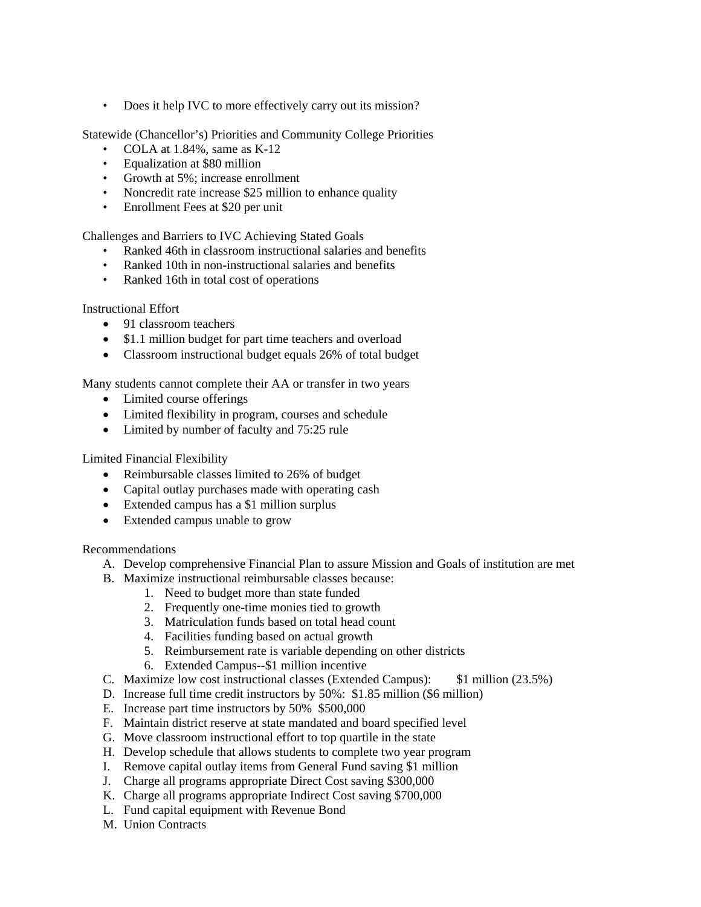• Does it help IVC to more effectively carry out its mission?

Statewide (Chancellor's) Priorities and Community College Priorities

- COLA at 1.84%, same as K-12
- Equalization at \$80 million
- Growth at 5%; increase enrollment
- Noncredit rate increase \$25 million to enhance quality
- Enrollment Fees at \$20 per unit

Challenges and Barriers to IVC Achieving Stated Goals

- Ranked 46th in classroom instructional salaries and benefits
- Ranked 10th in non-instructional salaries and benefits
- Ranked 16th in total cost of operations

Instructional Effort

- 91 classroom teachers
- \$1.1 million budget for part time teachers and overload
- Classroom instructional budget equals 26% of total budget

Many students cannot complete their AA or transfer in two years

- Limited course offerings
- Limited flexibility in program, courses and schedule
- Limited by number of faculty and 75:25 rule

Limited Financial Flexibility

- Reimbursable classes limited to 26% of budget
- Capital outlay purchases made with operating cash
- Extended campus has a \$1 million surplus
- Extended campus unable to grow

Recommendations

- A. Develop comprehensive Financial Plan to assure Mission and Goals of institution are met
- B. Maximize instructional reimbursable classes because:
	- 1. Need to budget more than state funded
	- 2. Frequently one-time monies tied to growth
	- 3. Matriculation funds based on total head count
	- 4. Facilities funding based on actual growth
	- 5. Reimbursement rate is variable depending on other districts
	- 6. Extended Campus--\$1 million incentive
- C. Maximize low cost instructional classes (Extended Campus): \$1 million (23.5%)
- D. Increase full time credit instructors by 50%: \$1.85 million (\$6 million)
- E. Increase part time instructors by 50% \$500,000
- F. Maintain district reserve at state mandated and board specified level
- G. Move classroom instructional effort to top quartile in the state
- H. Develop schedule that allows students to complete two year program
- I. Remove capital outlay items from General Fund saving \$1 million
- J. Charge all programs appropriate Direct Cost saving \$300,000
- K. Charge all programs appropriate Indirect Cost saving \$700,000
- L. Fund capital equipment with Revenue Bond
- M. Union Contracts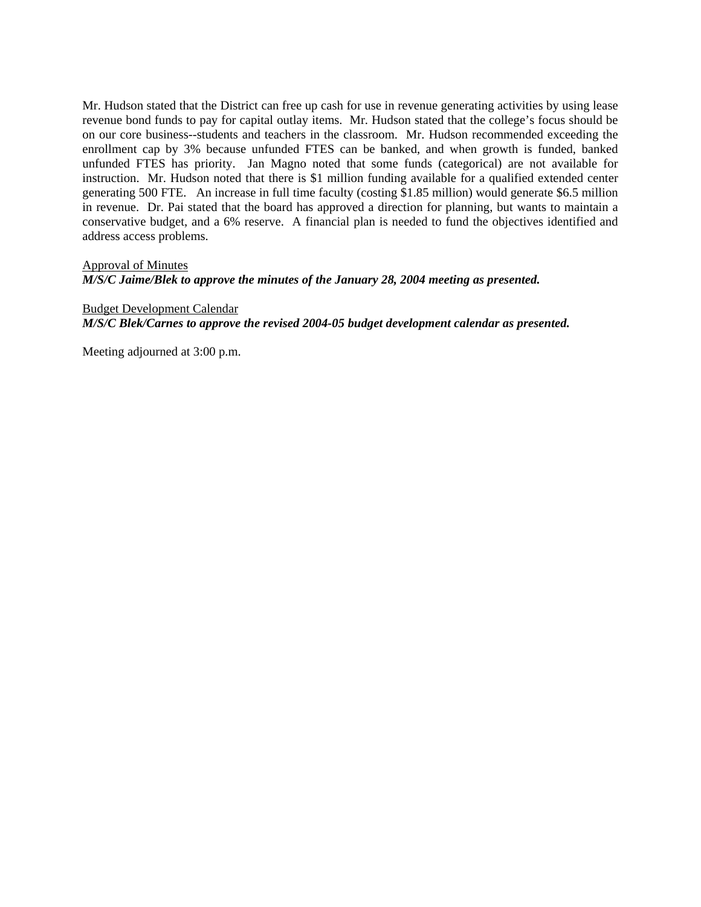Mr. Hudson stated that the District can free up cash for use in revenue generating activities by using lease revenue bond funds to pay for capital outlay items. Mr. Hudson stated that the college's focus should be on our core business--students and teachers in the classroom. Mr. Hudson recommended exceeding the enrollment cap by 3% because unfunded FTES can be banked, and when growth is funded, banked unfunded FTES has priority. Jan Magno noted that some funds (categorical) are not available for instruction. Mr. Hudson noted that there is \$1 million funding available for a qualified extended center generating 500 FTE. An increase in full time faculty (costing \$1.85 million) would generate \$6.5 million in revenue. Dr. Pai stated that the board has approved a direction for planning, but wants to maintain a conservative budget, and a 6% reserve. A financial plan is needed to fund the objectives identified and address access problems.

### Approval of Minutes

*M/S/C Jaime/Blek to approve the minutes of the January 28, 2004 meeting as presented.* 

Budget Development Calendar *M/S/C Blek/Carnes to approve the revised 2004-05 budget development calendar as presented.* 

Meeting adjourned at 3:00 p.m.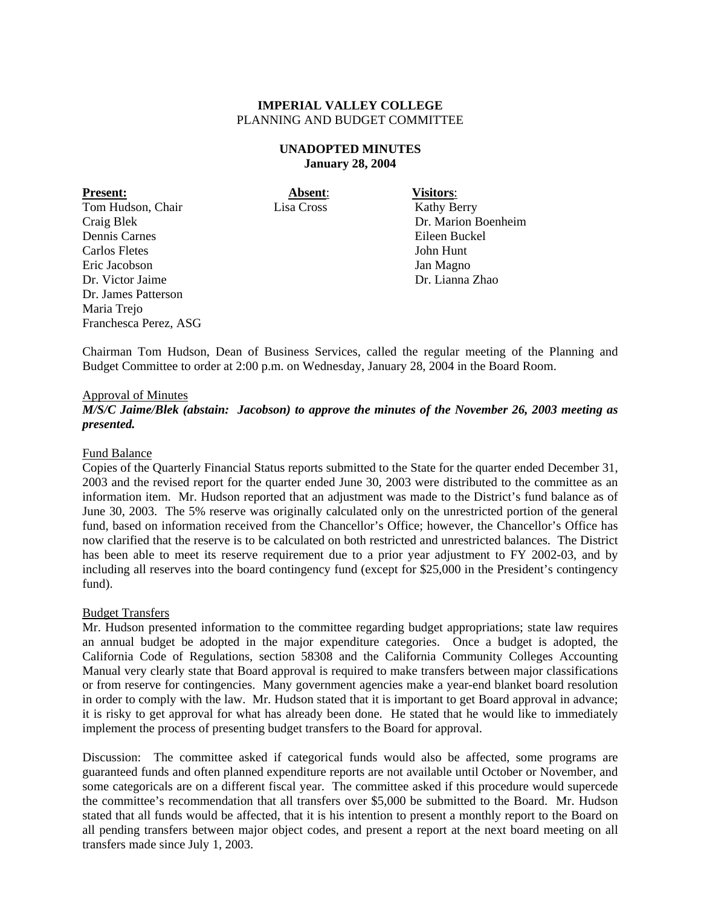#### **UNADOPTED MINUTES January 28, 2004**

**Present: Absent**: **Visitors**: Tom Hudson, Chair Lisa Cross Kathy Berry Craig Blek Dr. Marion Boenheim Dennis Carnes Eileen Buckel Carlos Fletes John Hunt Eric Jacobson Jan Magno Dr. Victor Jaime Dr. Lianna Zhao Dr. James Patterson Maria Trejo Franchesca Perez, ASG

Chairman Tom Hudson, Dean of Business Services, called the regular meeting of the Planning and Budget Committee to order at 2:00 p.m. on Wednesday, January 28, 2004 in the Board Room.

### Approval of Minutes

*M/S/C Jaime/Blek (abstain: Jacobson) to approve the minutes of the November 26, 2003 meeting as presented.* 

#### Fund Balance

Copies of the Quarterly Financial Status reports submitted to the State for the quarter ended December 31, 2003 and the revised report for the quarter ended June 30, 2003 were distributed to the committee as an information item. Mr. Hudson reported that an adjustment was made to the District's fund balance as of June 30, 2003. The 5% reserve was originally calculated only on the unrestricted portion of the general fund, based on information received from the Chancellor's Office; however, the Chancellor's Office has now clarified that the reserve is to be calculated on both restricted and unrestricted balances. The District has been able to meet its reserve requirement due to a prior year adjustment to FY 2002-03, and by including all reserves into the board contingency fund (except for \$25,000 in the President's contingency fund).

#### Budget Transfers

Mr. Hudson presented information to the committee regarding budget appropriations; state law requires an annual budget be adopted in the major expenditure categories. Once a budget is adopted, the California Code of Regulations, section 58308 and the California Community Colleges Accounting Manual very clearly state that Board approval is required to make transfers between major classifications or from reserve for contingencies. Many government agencies make a year-end blanket board resolution in order to comply with the law. Mr. Hudson stated that it is important to get Board approval in advance; it is risky to get approval for what has already been done. He stated that he would like to immediately implement the process of presenting budget transfers to the Board for approval.

Discussion: The committee asked if categorical funds would also be affected, some programs are guaranteed funds and often planned expenditure reports are not available until October or November, and some categoricals are on a different fiscal year. The committee asked if this procedure would supercede the committee's recommendation that all transfers over \$5,000 be submitted to the Board. Mr. Hudson stated that all funds would be affected, that it is his intention to present a monthly report to the Board on all pending transfers between major object codes, and present a report at the next board meeting on all transfers made since July 1, 2003.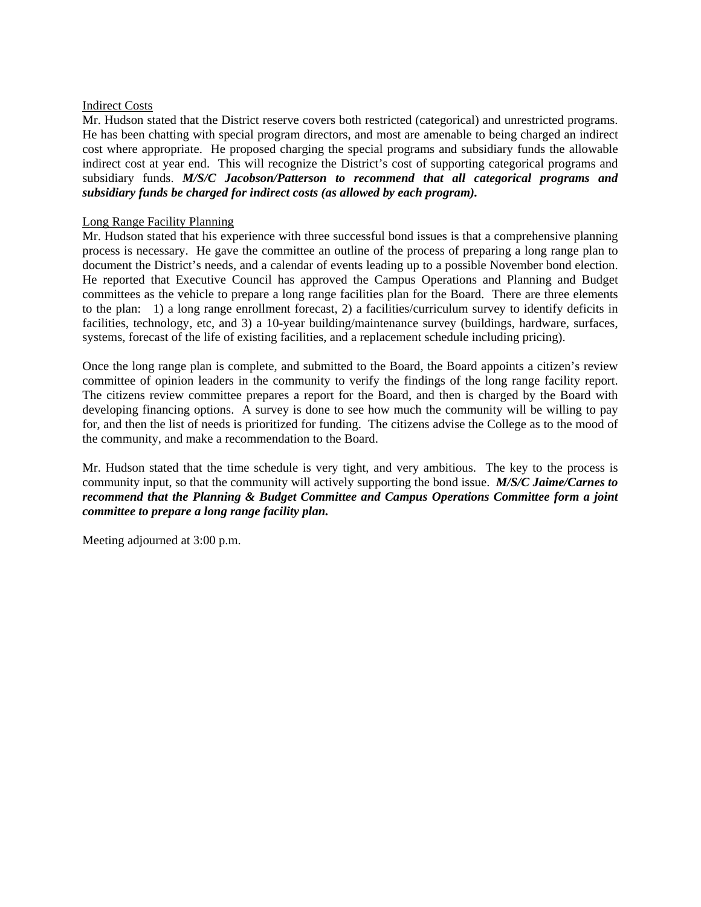### Indirect Costs

Mr. Hudson stated that the District reserve covers both restricted (categorical) and unrestricted programs. He has been chatting with special program directors, and most are amenable to being charged an indirect cost where appropriate. He proposed charging the special programs and subsidiary funds the allowable indirect cost at year end. This will recognize the District's cost of supporting categorical programs and subsidiary funds. *M/S/C Jacobson/Patterson to recommend that all categorical programs and subsidiary funds be charged for indirect costs (as allowed by each program).* 

### Long Range Facility Planning

Mr. Hudson stated that his experience with three successful bond issues is that a comprehensive planning process is necessary. He gave the committee an outline of the process of preparing a long range plan to document the District's needs, and a calendar of events leading up to a possible November bond election. He reported that Executive Council has approved the Campus Operations and Planning and Budget committees as the vehicle to prepare a long range facilities plan for the Board. There are three elements to the plan: 1) a long range enrollment forecast, 2) a facilities/curriculum survey to identify deficits in facilities, technology, etc, and 3) a 10-year building/maintenance survey (buildings, hardware, surfaces, systems, forecast of the life of existing facilities, and a replacement schedule including pricing).

Once the long range plan is complete, and submitted to the Board, the Board appoints a citizen's review committee of opinion leaders in the community to verify the findings of the long range facility report. The citizens review committee prepares a report for the Board, and then is charged by the Board with developing financing options. A survey is done to see how much the community will be willing to pay for, and then the list of needs is prioritized for funding. The citizens advise the College as to the mood of the community, and make a recommendation to the Board.

Mr. Hudson stated that the time schedule is very tight, and very ambitious. The key to the process is community input, so that the community will actively supporting the bond issue. *M/S/C Jaime/Carnes to recommend that the Planning & Budget Committee and Campus Operations Committee form a joint committee to prepare a long range facility plan.* 

Meeting adjourned at 3:00 p.m.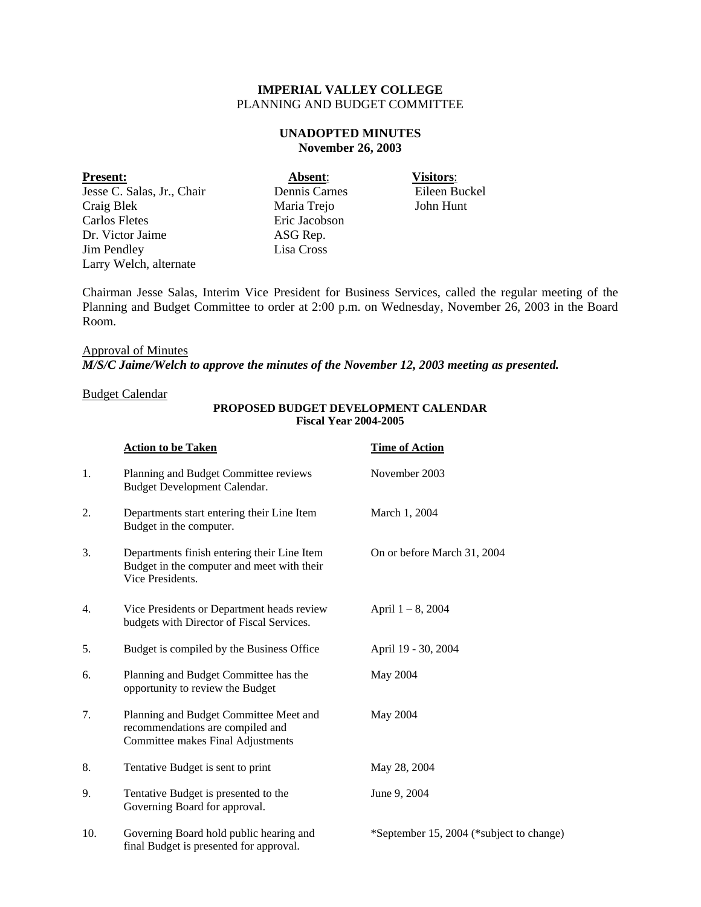# **UNADOPTED MINUTES November 26, 2003**

#### **Present: Absent**: **Visitors**:

Jesse C. Salas, Jr., Chair Dennis Carnes Eileen Buckel Craig Blek Maria Trejo John Hunt Carlos Fletes Eric Jacobson Dr. Victor Jaime ASG Rep. Jim Pendley Lisa Cross Larry Welch, alternate

Chairman Jesse Salas, Interim Vice President for Business Services, called the regular meeting of the Planning and Budget Committee to order at 2:00 p.m. on Wednesday, November 26, 2003 in the Board Room.

# Approval of Minutes *M/S/C Jaime/Welch to approve the minutes of the November 12, 2003 meeting as presented.*

#### Budget Calendar

|     | <b>Action to be Taken</b>                                                                                       | <b>Time of Action</b>                    |
|-----|-----------------------------------------------------------------------------------------------------------------|------------------------------------------|
| 1.  | Planning and Budget Committee reviews<br>Budget Development Calendar.                                           | November 2003                            |
| 2.  | Departments start entering their Line Item<br>Budget in the computer.                                           | March 1, 2004                            |
| 3.  | Departments finish entering their Line Item<br>Budget in the computer and meet with their<br>Vice Presidents.   | On or before March 31, 2004              |
| 4.  | Vice Presidents or Department heads review<br>budgets with Director of Fiscal Services.                         | April $1 - 8$ , 2004                     |
| 5.  | Budget is compiled by the Business Office                                                                       | April 19 - 30, 2004                      |
| 6.  | Planning and Budget Committee has the<br>opportunity to review the Budget                                       | May 2004                                 |
| 7.  | Planning and Budget Committee Meet and<br>recommendations are compiled and<br>Committee makes Final Adjustments | May 2004                                 |
| 8.  | Tentative Budget is sent to print                                                                               | May 28, 2004                             |
| 9.  | Tentative Budget is presented to the<br>Governing Board for approval.                                           | June 9, 2004                             |
| 10. | Governing Board hold public hearing and                                                                         | *September 15, 2004 (*subject to change) |

final Budget is presented for approval.

#### **PROPOSED BUDGET DEVELOPMENT CALENDAR Fiscal Year 2004-2005**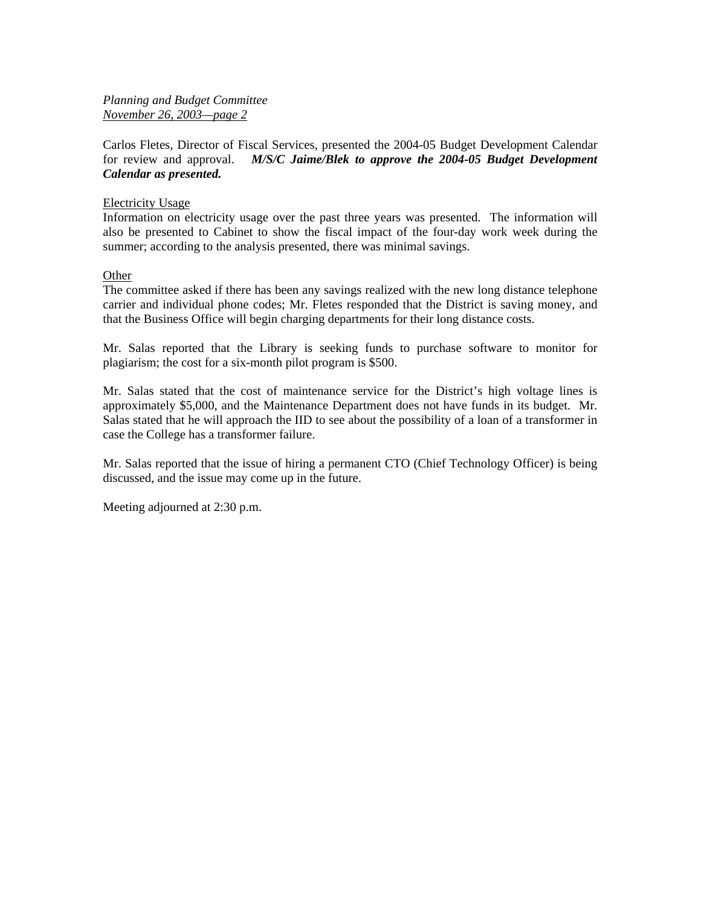# *Planning and Budget Committee November 26, 2003—page 2*

Carlos Fletes, Director of Fiscal Services, presented the 2004-05 Budget Development Calendar for review and approval. *M/S/C Jaime/Blek to approve the 2004-05 Budget Development Calendar as presented.*

### Electricity Usage

Information on electricity usage over the past three years was presented. The information will also be presented to Cabinet to show the fiscal impact of the four-day work week during the summer; according to the analysis presented, there was minimal savings.

### **Other**

The committee asked if there has been any savings realized with the new long distance telephone carrier and individual phone codes; Mr. Fletes responded that the District is saving money, and that the Business Office will begin charging departments for their long distance costs.

Mr. Salas reported that the Library is seeking funds to purchase software to monitor for plagiarism; the cost for a six-month pilot program is \$500.

Mr. Salas stated that the cost of maintenance service for the District's high voltage lines is approximately \$5,000, and the Maintenance Department does not have funds in its budget. Mr. Salas stated that he will approach the IID to see about the possibility of a loan of a transformer in case the College has a transformer failure.

Mr. Salas reported that the issue of hiring a permanent CTO (Chief Technology Officer) is being discussed, and the issue may come up in the future.

Meeting adjourned at 2:30 p.m.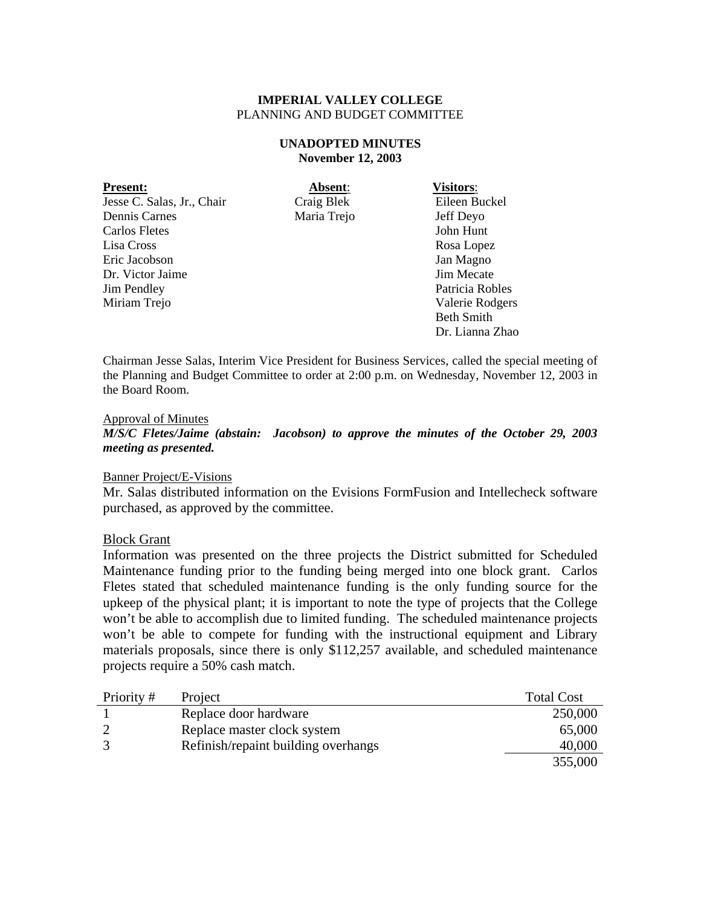# **UNADOPTED MINUTES November 12, 2003**

| <b>Present:</b>            | Absent:     | <b>Visitors:</b>  |
|----------------------------|-------------|-------------------|
| Jesse C. Salas, Jr., Chair | Craig Blek  | Eileen Buckel     |
| Dennis Carnes              | Maria Trejo | Jeff Deyo         |
| Carlos Fletes              |             | John Hunt         |
| Lisa Cross                 |             | Rosa Lopez        |
| Eric Jacobson              |             | Jan Magno         |
| Dr. Victor Jaime           |             | Jim Mecate        |
| <b>Jim Pendley</b>         |             | Patricia Robles   |
| Miriam Trejo               |             | Valerie Rodgers   |
|                            |             | <b>Beth Smith</b> |
|                            |             | Dr. Lianna Zhao   |

Chairman Jesse Salas, Interim Vice President for Business Services, called the special meeting of the Planning and Budget Committee to order at 2:00 p.m. on Wednesday, November 12, 2003 in the Board Room.

#### Approval of Minutes

*M/S/C Fletes/Jaime (abstain: Jacobson) to approve the minutes of the October 29, 2003 meeting as presented.* 

# Banner Project/E-Visions

Mr. Salas distributed information on the Evisions FormFusion and Intellecheck software purchased, as approved by the committee.

#### Block Grant

Information was presented on the three projects the District submitted for Scheduled Maintenance funding prior to the funding being merged into one block grant. Carlos Fletes stated that scheduled maintenance funding is the only funding source for the upkeep of the physical plant; it is important to note the type of projects that the College won't be able to accomplish due to limited funding. The scheduled maintenance projects won't be able to compete for funding with the instructional equipment and Library materials proposals, since there is only \$112,257 available, and scheduled maintenance projects require a 50% cash match.

| Priority# | Project                             | <b>Total Cost</b> |
|-----------|-------------------------------------|-------------------|
|           | Replace door hardware               | 250,000           |
|           | Replace master clock system         | 65,000            |
|           | Refinish/repaint building overhangs | 40,000            |
|           |                                     | 355,000           |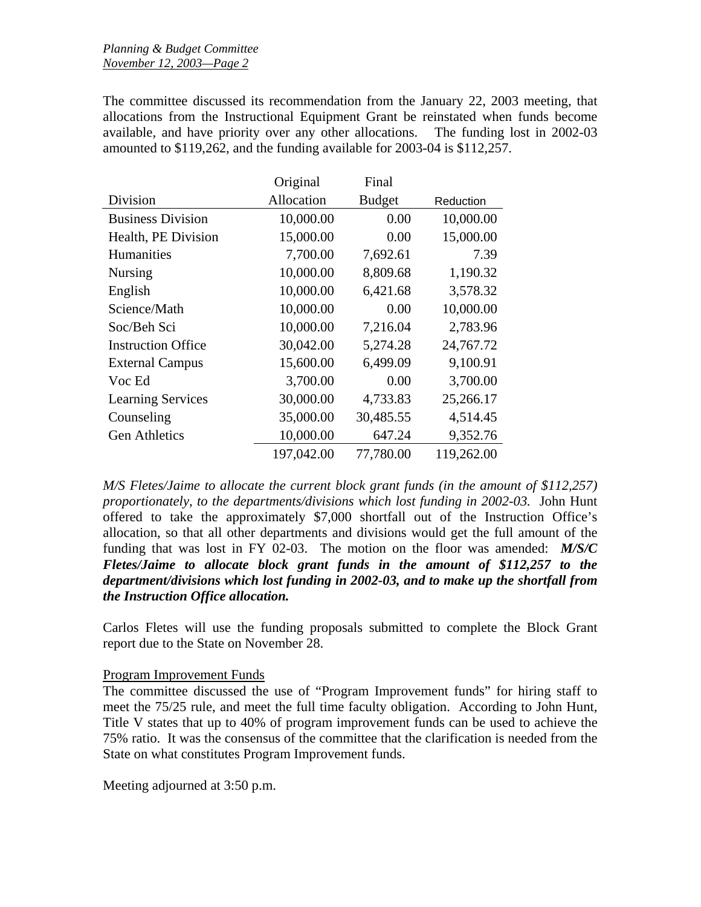The committee discussed its recommendation from the January 22, 2003 meeting, that allocations from the Instructional Equipment Grant be reinstated when funds become available, and have priority over any other allocations. The funding lost in 2002-03 amounted to \$119,262, and the funding available for 2003-04 is \$112,257.

|                           | Original   | Final         |            |
|---------------------------|------------|---------------|------------|
| Division                  | Allocation | <b>Budget</b> | Reduction  |
| <b>Business Division</b>  | 10,000.00  | 0.00          | 10,000.00  |
| Health, PE Division       | 15,000.00  | 0.00          | 15,000.00  |
| <b>Humanities</b>         | 7,700.00   | 7,692.61      | 7.39       |
| <b>Nursing</b>            | 10,000.00  | 8,809.68      | 1,190.32   |
| English                   | 10,000.00  | 6,421.68      | 3,578.32   |
| Science/Math              | 10,000.00  | 0.00          | 10,000.00  |
| Soc/Beh Sci               | 10,000.00  | 7,216.04      | 2,783.96   |
| <b>Instruction Office</b> | 30,042.00  | 5,274.28      | 24,767.72  |
| <b>External Campus</b>    | 15,600.00  | 6,499.09      | 9,100.91   |
| Voc Ed                    | 3,700.00   | 0.00          | 3,700.00   |
| <b>Learning Services</b>  | 30,000.00  | 4,733.83      | 25,266.17  |
| Counseling                | 35,000.00  | 30,485.55     | 4,514.45   |
| <b>Gen Athletics</b>      | 10,000.00  | 647.24        | 9,352.76   |
|                           | 197,042.00 | 77,780.00     | 119,262.00 |

*M/S Fletes/Jaime to allocate the current block grant funds (in the amount of \$112,257) proportionately, to the departments/divisions which lost funding in 2002-03.* John Hunt offered to take the approximately \$7,000 shortfall out of the Instruction Office's allocation, so that all other departments and divisions would get the full amount of the funding that was lost in FY 02-03. The motion on the floor was amended: *M/S/C Fletes/Jaime to allocate block grant funds in the amount of \$112,257 to the department/divisions which lost funding in 2002-03, and to make up the shortfall from the Instruction Office allocation.* 

Carlos Fletes will use the funding proposals submitted to complete the Block Grant report due to the State on November 28.

# Program Improvement Funds

The committee discussed the use of "Program Improvement funds" for hiring staff to meet the 75/25 rule, and meet the full time faculty obligation. According to John Hunt, Title V states that up to 40% of program improvement funds can be used to achieve the 75% ratio. It was the consensus of the committee that the clarification is needed from the State on what constitutes Program Improvement funds.

Meeting adjourned at 3:50 p.m.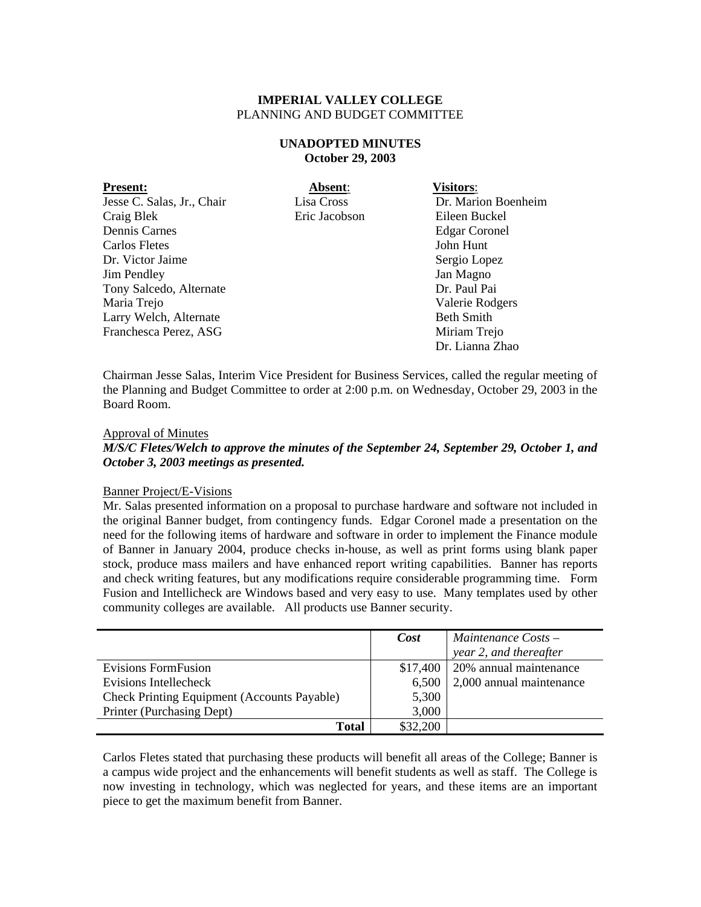# **UNADOPTED MINUTES October 29, 2003**

| <b>Present:</b>            | Absent:       | <b>Visitors:</b>     |
|----------------------------|---------------|----------------------|
| Jesse C. Salas, Jr., Chair | Lisa Cross    | Dr. Marion Boenheim  |
| Craig Blek                 | Eric Jacobson | Eileen Buckel        |
| Dennis Carnes              |               | <b>Edgar Coronel</b> |
| Carlos Fletes              |               | John Hunt            |
| Dr. Victor Jaime           |               | Sergio Lopez         |
| <b>Jim Pendley</b>         |               | Jan Magno            |
| Tony Salcedo, Alternate    |               | Dr. Paul Pai         |
| Maria Trejo                |               | Valerie Rodgers      |
| Larry Welch, Alternate     |               | <b>Beth Smith</b>    |
| Franchesca Perez, ASG      |               | Miriam Trejo         |
|                            |               | Dr. Lianna Zhao      |

Chairman Jesse Salas, Interim Vice President for Business Services, called the regular meeting of the Planning and Budget Committee to order at 2:00 p.m. on Wednesday, October 29, 2003 in the Board Room.

#### Approval of Minutes

*M/S/C Fletes/Welch to approve the minutes of the September 24, September 29, October 1, and October 3, 2003 meetings as presented.* 

### Banner Project/E-Visions

Mr. Salas presented information on a proposal to purchase hardware and software not included in the original Banner budget, from contingency funds. Edgar Coronel made a presentation on the need for the following items of hardware and software in order to implement the Finance module of Banner in January 2004, produce checks in-house, as well as print forms using blank paper stock, produce mass mailers and have enhanced report writing capabilities. Banner has reports and check writing features, but any modifications require considerable programming time. Form Fusion and Intellicheck are Windows based and very easy to use. Many templates used by other community colleges are available. All products use Banner security.

|                                                    | Cost     | Maintenance Costs -                |
|----------------------------------------------------|----------|------------------------------------|
|                                                    |          | year 2, and thereafter             |
| Evisions FormFusion                                | \$17,400 | 20% annual maintenance             |
| Evisions Intellecheck                              |          | $6,500$   2,000 annual maintenance |
| <b>Check Printing Equipment (Accounts Payable)</b> | 5,300    |                                    |
| Printer (Purchasing Dept)                          | 3,000    |                                    |
| Total                                              | \$32,200 |                                    |

Carlos Fletes stated that purchasing these products will benefit all areas of the College; Banner is a campus wide project and the enhancements will benefit students as well as staff. The College is now investing in technology, which was neglected for years, and these items are an important piece to get the maximum benefit from Banner.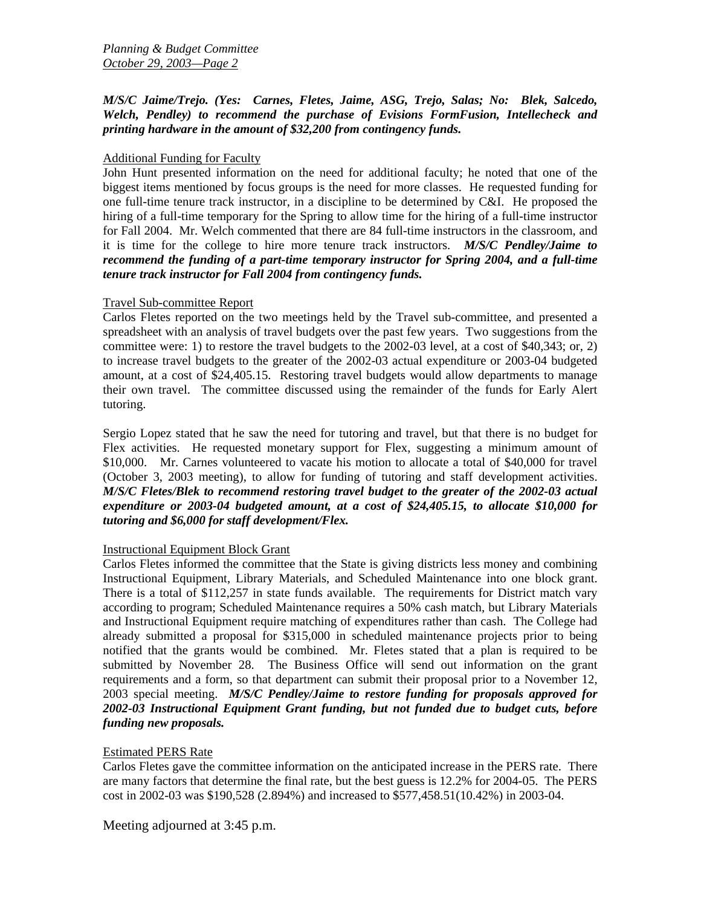# *M/S/C Jaime/Trejo. (Yes: Carnes, Fletes, Jaime, ASG, Trejo, Salas; No: Blek, Salcedo, Welch, Pendley) to recommend the purchase of Evisions FormFusion, Intellecheck and printing hardware in the amount of \$32,200 from contingency funds.*

# Additional Funding for Faculty

John Hunt presented information on the need for additional faculty; he noted that one of the biggest items mentioned by focus groups is the need for more classes. He requested funding for one full-time tenure track instructor, in a discipline to be determined by C&I. He proposed the hiring of a full-time temporary for the Spring to allow time for the hiring of a full-time instructor for Fall 2004. Mr. Welch commented that there are 84 full-time instructors in the classroom, and it is time for the college to hire more tenure track instructors. *M/S/C Pendley/Jaime to recommend the funding of a part-time temporary instructor for Spring 2004, and a full-time tenure track instructor for Fall 2004 from contingency funds.* 

# Travel Sub-committee Report

Carlos Fletes reported on the two meetings held by the Travel sub-committee, and presented a spreadsheet with an analysis of travel budgets over the past few years. Two suggestions from the committee were: 1) to restore the travel budgets to the 2002-03 level, at a cost of \$40,343; or, 2) to increase travel budgets to the greater of the 2002-03 actual expenditure or 2003-04 budgeted amount, at a cost of \$24,405.15. Restoring travel budgets would allow departments to manage their own travel. The committee discussed using the remainder of the funds for Early Alert tutoring.

Sergio Lopez stated that he saw the need for tutoring and travel, but that there is no budget for Flex activities. He requested monetary support for Flex, suggesting a minimum amount of \$10,000. Mr. Carnes volunteered to vacate his motion to allocate a total of \$40,000 for travel (October 3, 2003 meeting), to allow for funding of tutoring and staff development activities. *M/S/C Fletes/Blek to recommend restoring travel budget to the greater of the 2002-03 actual expenditure or 2003-04 budgeted amount, at a cost of \$24,405.15, to allocate \$10,000 for tutoring and \$6,000 for staff development/Flex.* 

# Instructional Equipment Block Grant

Carlos Fletes informed the committee that the State is giving districts less money and combining Instructional Equipment, Library Materials, and Scheduled Maintenance into one block grant. There is a total of \$112,257 in state funds available. The requirements for District match vary according to program; Scheduled Maintenance requires a 50% cash match, but Library Materials and Instructional Equipment require matching of expenditures rather than cash. The College had already submitted a proposal for \$315,000 in scheduled maintenance projects prior to being notified that the grants would be combined. Mr. Fletes stated that a plan is required to be submitted by November 28. The Business Office will send out information on the grant requirements and a form, so that department can submit their proposal prior to a November 12, 2003 special meeting. *M/S/C Pendley/Jaime to restore funding for proposals approved for 2002-03 Instructional Equipment Grant funding, but not funded due to budget cuts, before funding new proposals.* 

# Estimated PERS Rate

Carlos Fletes gave the committee information on the anticipated increase in the PERS rate. There are many factors that determine the final rate, but the best guess is 12.2% for 2004-05. The PERS cost in 2002-03 was \$190,528 (2.894%) and increased to \$577,458.51(10.42%) in 2003-04.

Meeting adjourned at 3:45 p.m.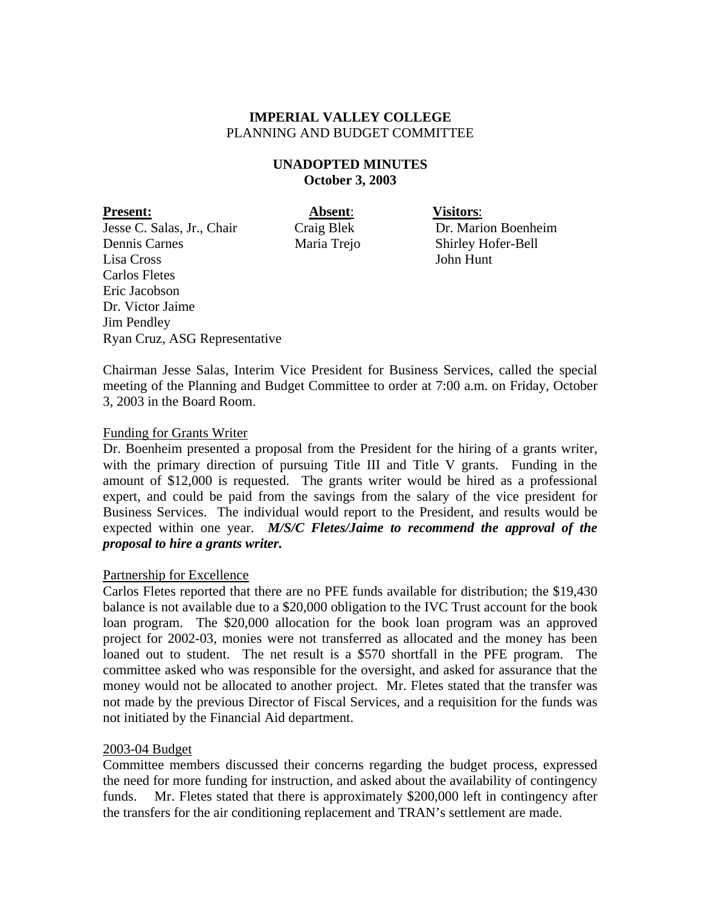# **UNADOPTED MINUTES October 3, 2003**

**Present:** Absent: **Visitors:** Jesse C. Salas, Jr., Chair Craig Blek Dr. Marion Boenheim Dennis Carnes Maria Trejo Shirley Hofer-Bell Lisa Cross John Hunt Carlos Fletes Eric Jacobson Dr. Victor Jaime Jim Pendley Ryan Cruz, ASG Representative

Chairman Jesse Salas, Interim Vice President for Business Services, called the special meeting of the Planning and Budget Committee to order at 7:00 a.m. on Friday, October 3, 2003 in the Board Room.

# Funding for Grants Writer

Dr. Boenheim presented a proposal from the President for the hiring of a grants writer, with the primary direction of pursuing Title III and Title V grants. Funding in the amount of \$12,000 is requested. The grants writer would be hired as a professional expert, and could be paid from the savings from the salary of the vice president for Business Services. The individual would report to the President, and results would be expected within one year. *M/S/C Fletes/Jaime to recommend the approval of the proposal to hire a grants writer.* 

# Partnership for Excellence

Carlos Fletes reported that there are no PFE funds available for distribution; the \$19,430 balance is not available due to a \$20,000 obligation to the IVC Trust account for the book loan program. The \$20,000 allocation for the book loan program was an approved project for 2002-03, monies were not transferred as allocated and the money has been loaned out to student. The net result is a \$570 shortfall in the PFE program. The committee asked who was responsible for the oversight, and asked for assurance that the money would not be allocated to another project. Mr. Fletes stated that the transfer was not made by the previous Director of Fiscal Services, and a requisition for the funds was not initiated by the Financial Aid department.

# 2003-04 Budget

Committee members discussed their concerns regarding the budget process, expressed the need for more funding for instruction, and asked about the availability of contingency funds. Mr. Fletes stated that there is approximately \$200,000 left in contingency after the transfers for the air conditioning replacement and TRAN's settlement are made.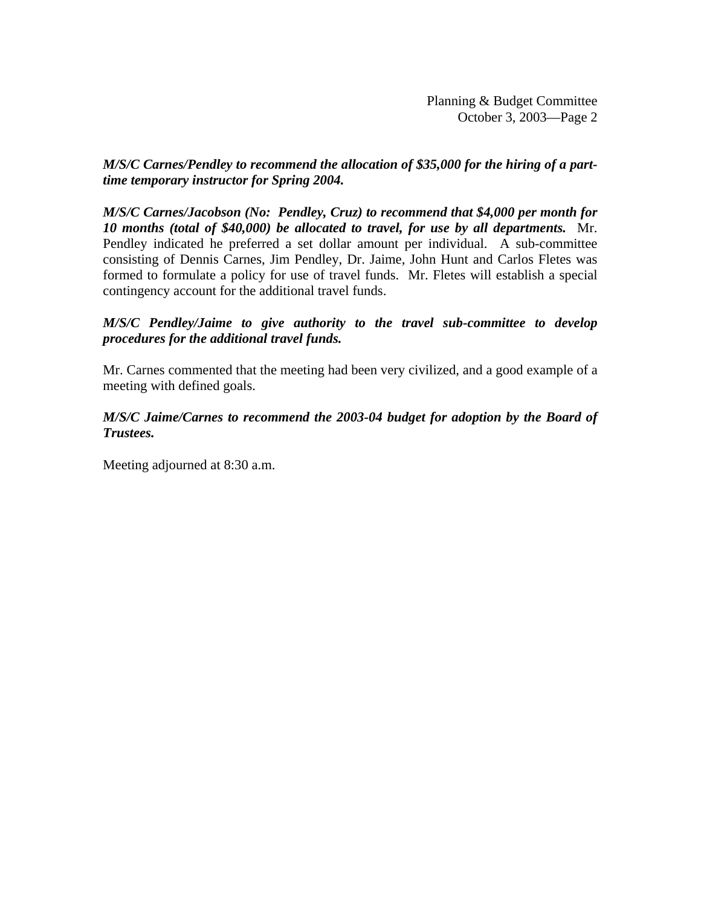# *M/S/C Carnes/Pendley to recommend the allocation of \$35,000 for the hiring of a parttime temporary instructor for Spring 2004.*

*M/S/C Carnes/Jacobson (No: Pendley, Cruz) to recommend that \$4,000 per month for 10 months (total of \$40,000) be allocated to travel, for use by all departments.* Mr. Pendley indicated he preferred a set dollar amount per individual. A sub-committee consisting of Dennis Carnes, Jim Pendley, Dr. Jaime, John Hunt and Carlos Fletes was formed to formulate a policy for use of travel funds. Mr. Fletes will establish a special contingency account for the additional travel funds.

# *M/S/C Pendley/Jaime to give authority to the travel sub-committee to develop procedures for the additional travel funds.*

Mr. Carnes commented that the meeting had been very civilized, and a good example of a meeting with defined goals.

# *M/S/C Jaime/Carnes to recommend the 2003-04 budget for adoption by the Board of Trustees.*

Meeting adjourned at 8:30 a.m.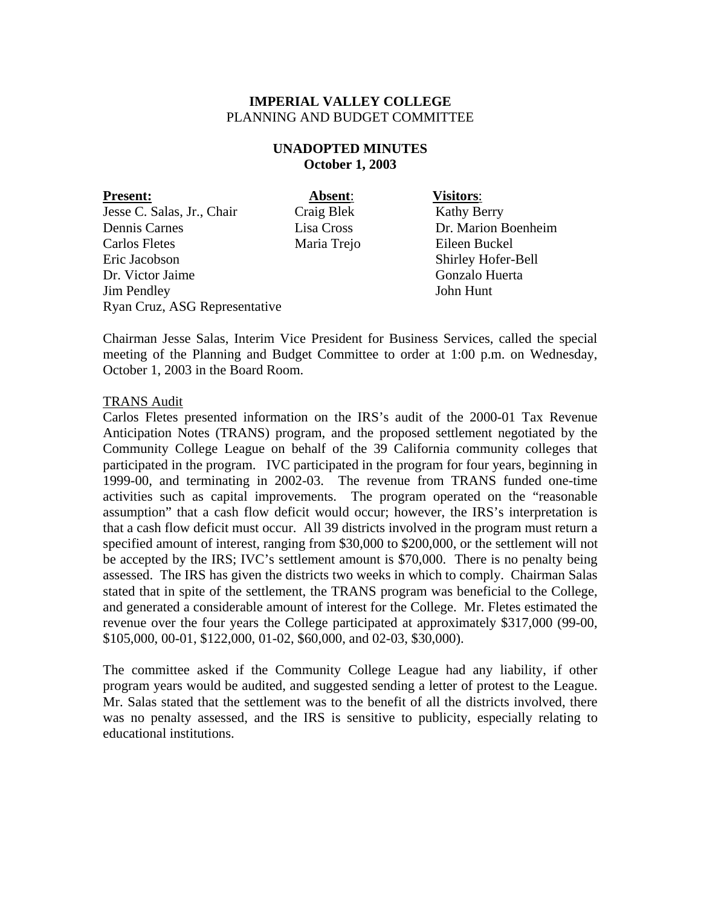# **UNADOPTED MINUTES October 1, 2003**

**Present: Absent**: **Visitors**: Jesse C. Salas, Jr., Chair Craig Blek Kathy Berry Dennis Carnes Lisa Cross Dr. Marion Boenheim Carlos Fletes Maria Trejo Eileen Buckel Eric Jacobson Shirley Hofer-Bell Dr. Victor Jaime Gonzalo Huerta Jim Pendley John Hunt Ryan Cruz, ASG Representative

Chairman Jesse Salas, Interim Vice President for Business Services, called the special meeting of the Planning and Budget Committee to order at 1:00 p.m. on Wednesday, October 1, 2003 in the Board Room.

# TRANS Audit

Carlos Fletes presented information on the IRS's audit of the 2000-01 Tax Revenue Anticipation Notes (TRANS) program, and the proposed settlement negotiated by the Community College League on behalf of the 39 California community colleges that participated in the program. IVC participated in the program for four years, beginning in 1999-00, and terminating in 2002-03. The revenue from TRANS funded one-time activities such as capital improvements. The program operated on the "reasonable assumption" that a cash flow deficit would occur; however, the IRS's interpretation is that a cash flow deficit must occur. All 39 districts involved in the program must return a specified amount of interest, ranging from \$30,000 to \$200,000, or the settlement will not be accepted by the IRS; IVC's settlement amount is \$70,000. There is no penalty being assessed. The IRS has given the districts two weeks in which to comply. Chairman Salas stated that in spite of the settlement, the TRANS program was beneficial to the College, and generated a considerable amount of interest for the College. Mr. Fletes estimated the revenue over the four years the College participated at approximately \$317,000 (99-00, \$105,000, 00-01, \$122,000, 01-02, \$60,000, and 02-03, \$30,000).

The committee asked if the Community College League had any liability, if other program years would be audited, and suggested sending a letter of protest to the League. Mr. Salas stated that the settlement was to the benefit of all the districts involved, there was no penalty assessed, and the IRS is sensitive to publicity, especially relating to educational institutions.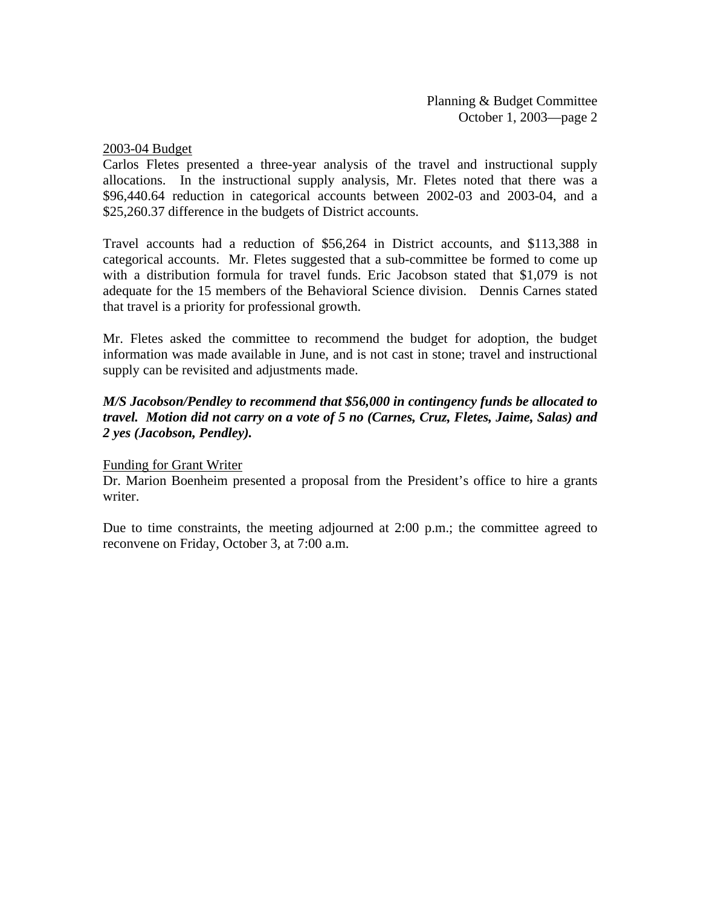# 2003-04 Budget

Carlos Fletes presented a three-year analysis of the travel and instructional supply allocations. In the instructional supply analysis, Mr. Fletes noted that there was a \$96,440.64 reduction in categorical accounts between 2002-03 and 2003-04, and a \$25,260.37 difference in the budgets of District accounts.

Travel accounts had a reduction of \$56,264 in District accounts, and \$113,388 in categorical accounts. Mr. Fletes suggested that a sub-committee be formed to come up with a distribution formula for travel funds. Eric Jacobson stated that \$1,079 is not adequate for the 15 members of the Behavioral Science division. Dennis Carnes stated that travel is a priority for professional growth.

Mr. Fletes asked the committee to recommend the budget for adoption, the budget information was made available in June, and is not cast in stone; travel and instructional supply can be revisited and adjustments made.

# *M/S Jacobson/Pendley to recommend that \$56,000 in contingency funds be allocated to travel. Motion did not carry on a vote of 5 no (Carnes, Cruz, Fletes, Jaime, Salas) and 2 yes (Jacobson, Pendley).*

# Funding for Grant Writer

Dr. Marion Boenheim presented a proposal from the President's office to hire a grants writer.

Due to time constraints, the meeting adjourned at 2:00 p.m.; the committee agreed to reconvene on Friday, October 3, at 7:00 a.m.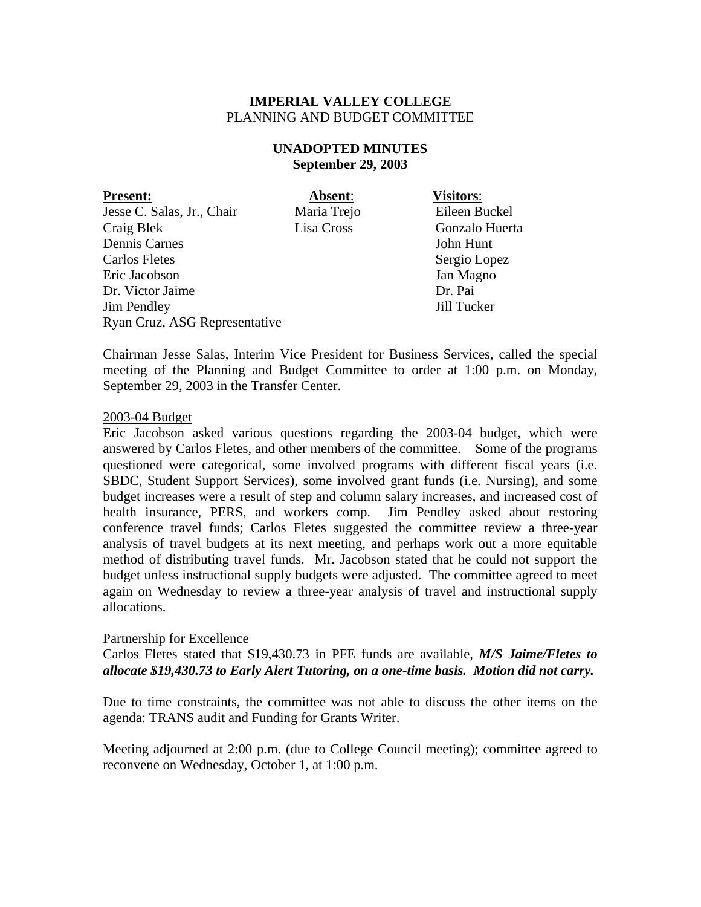# **UNADOPTED MINUTES September 29, 2003**

**Present: Absent**: **Visitors**: Jesse C. Salas, Jr., Chair Maria Trejo Eileen Buckel<br>Craig Blek Lisa Cross Gonzalo Huert Craig Blek Lisa Cross Gonzalo Huerta Dennis Carnes John Hunt Carlos Fletes Sergio Lopez Eric Jacobson Jan Magno Dr. Victor Jaime Dr. Pai Jim Pendley Jill Tucker Ryan Cruz, ASG Representative

Chairman Jesse Salas, Interim Vice President for Business Services, called the special meeting of the Planning and Budget Committee to order at 1:00 p.m. on Monday, September 29, 2003 in the Transfer Center.

# 2003-04 Budget

Eric Jacobson asked various questions regarding the 2003-04 budget, which were answered by Carlos Fletes, and other members of the committee. Some of the programs questioned were categorical, some involved programs with different fiscal years (i.e. SBDC, Student Support Services), some involved grant funds (i.e. Nursing), and some budget increases were a result of step and column salary increases, and increased cost of health insurance, PERS, and workers comp. Jim Pendley asked about restoring conference travel funds; Carlos Fletes suggested the committee review a three-year analysis of travel budgets at its next meeting, and perhaps work out a more equitable method of distributing travel funds. Mr. Jacobson stated that he could not support the budget unless instructional supply budgets were adjusted. The committee agreed to meet again on Wednesday to review a three-year analysis of travel and instructional supply allocations.

# Partnership for Excellence

Carlos Fletes stated that \$19,430.73 in PFE funds are available, *M/S Jaime/Fletes to allocate \$19,430.73 to Early Alert Tutoring, on a one-time basis. Motion did not carry.*

Due to time constraints, the committee was not able to discuss the other items on the agenda: TRANS audit and Funding for Grants Writer.

Meeting adjourned at 2:00 p.m. (due to College Council meeting); committee agreed to reconvene on Wednesday, October 1, at 1:00 p.m.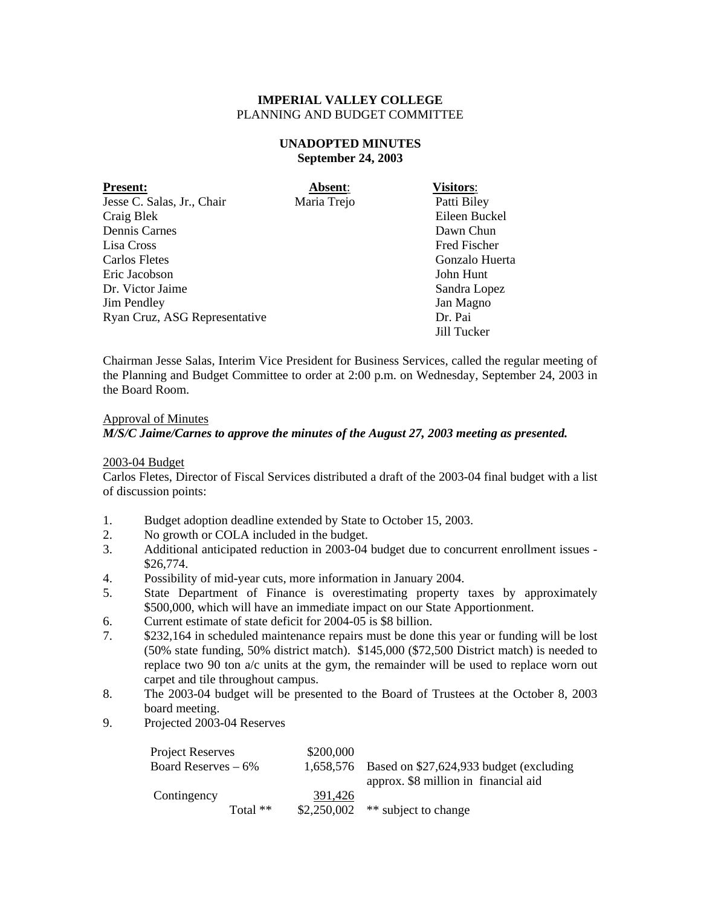# **UNADOPTED MINUTES September 24, 2003**

| <b>Present:</b>               | Absent:     | <b>Visitors:</b>    |
|-------------------------------|-------------|---------------------|
| Jesse C. Salas, Jr., Chair    | Maria Trejo | Patti Biley         |
| Craig Blek                    |             | Eileen Buckel       |
| Dennis Carnes                 |             | Dawn Chun           |
| Lisa Cross                    |             | <b>Fred Fischer</b> |
| Carlos Fletes                 |             | Gonzalo Huerta      |
| Eric Jacobson                 |             | John Hunt           |
| Dr. Victor Jaime              |             | Sandra Lopez        |
| <b>Jim Pendley</b>            |             | Jan Magno           |
| Ryan Cruz, ASG Representative |             | Dr. Pai             |
|                               |             | Jill Tucker         |

Chairman Jesse Salas, Interim Vice President for Business Services, called the regular meeting of the Planning and Budget Committee to order at 2:00 p.m. on Wednesday, September 24, 2003 in the Board Room.

### Approval of Minutes

*M/S/C Jaime/Carnes to approve the minutes of the August 27, 2003 meeting as presented.* 

#### 2003-04 Budget

Carlos Fletes, Director of Fiscal Services distributed a draft of the 2003-04 final budget with a list of discussion points:

- 1. Budget adoption deadline extended by State to October 15, 2003.
- 2. No growth or COLA included in the budget.
- 3. Additional anticipated reduction in 2003-04 budget due to concurrent enrollment issues \$26,774.
- 4. Possibility of mid-year cuts, more information in January 2004.
- 5. State Department of Finance is overestimating property taxes by approximately \$500,000, which will have an immediate impact on our State Apportionment.
- 6. Current estimate of state deficit for 2004-05 is \$8 billion.
- 7. \$232,164 in scheduled maintenance repairs must be done this year or funding will be lost (50% state funding, 50% district match). \$145,000 (\$72,500 District match) is needed to replace two 90 ton a/c units at the gym, the remainder will be used to replace worn out carpet and tile throughout campus.
- 8. The 2003-04 budget will be presented to the Board of Trustees at the October 8, 2003 board meeting.
- 9. Projected 2003-04 Reserves

| Project Reserves      |            | \$200,000 |                                                   |
|-----------------------|------------|-----------|---------------------------------------------------|
| Board Reserves $-6\%$ |            |           | 1,658,576 Based on \$27,624,933 budget (excluding |
|                       |            |           | approx. \$8 million in financial aid              |
| Contingency           |            | 391.426   |                                                   |
|                       | Total $**$ |           | $$2,250,002$ ** subject to change                 |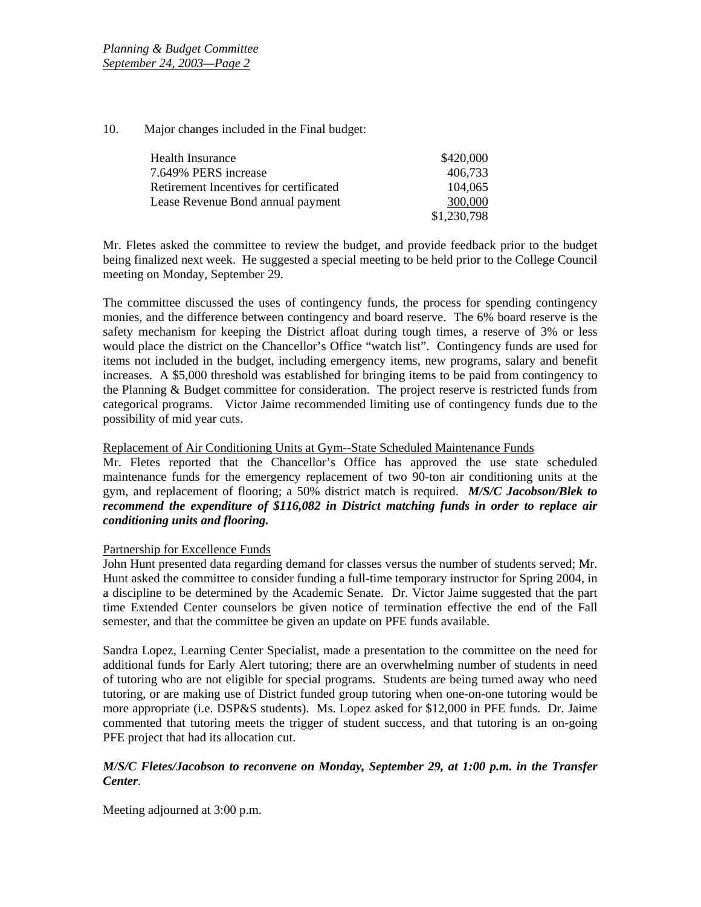10. Major changes included in the Final budget:

| Health Insurance                       | \$420,000   |
|----------------------------------------|-------------|
| 7.649% PERS increase                   | 406,733     |
| Retirement Incentives for certificated | 104.065     |
| Lease Revenue Bond annual payment      | 300,000     |
|                                        | \$1,230,798 |

Mr. Fletes asked the committee to review the budget, and provide feedback prior to the budget being finalized next week. He suggested a special meeting to be held prior to the College Council meeting on Monday, September 29.

The committee discussed the uses of contingency funds, the process for spending contingency monies, and the difference between contingency and board reserve. The 6% board reserve is the safety mechanism for keeping the District afloat during tough times, a reserve of 3% or less would place the district on the Chancellor's Office "watch list". Contingency funds are used for items not included in the budget, including emergency items, new programs, salary and benefit increases. A \$5,000 threshold was established for bringing items to be paid from contingency to the Planning & Budget committee for consideration. The project reserve is restricted funds from categorical programs. Victor Jaime recommended limiting use of contingency funds due to the possibility of mid year cuts.

Replacement of Air Conditioning Units at Gym--State Scheduled Maintenance Funds

Mr. Fletes reported that the Chancellor's Office has approved the use state scheduled maintenance funds for the emergency replacement of two 90-ton air conditioning units at the gym, and replacement of flooring; a 50% district match is required. *M/S/C Jacobson/Blek to recommend the expenditure of \$116,082 in District matching funds in order to replace air conditioning units and flooring.* 

# Partnership for Excellence Funds

John Hunt presented data regarding demand for classes versus the number of students served; Mr. Hunt asked the committee to consider funding a full-time temporary instructor for Spring 2004, in a discipline to be determined by the Academic Senate. Dr. Victor Jaime suggested that the part time Extended Center counselors be given notice of termination effective the end of the Fall semester, and that the committee be given an update on PFE funds available.

Sandra Lopez, Learning Center Specialist, made a presentation to the committee on the need for additional funds for Early Alert tutoring; there are an overwhelming number of students in need of tutoring who are not eligible for special programs. Students are being turned away who need tutoring, or are making use of District funded group tutoring when one-on-one tutoring would be more appropriate (i.e. DSP&S students). Ms. Lopez asked for \$12,000 in PFE funds. Dr. Jaime commented that tutoring meets the trigger of student success, and that tutoring is an on-going PFE project that had its allocation cut.

# *M/S/C Fletes/Jacobson to reconvene on Monday, September 29, at 1:00 p.m. in the Transfer Center*.

Meeting adjourned at 3:00 p.m.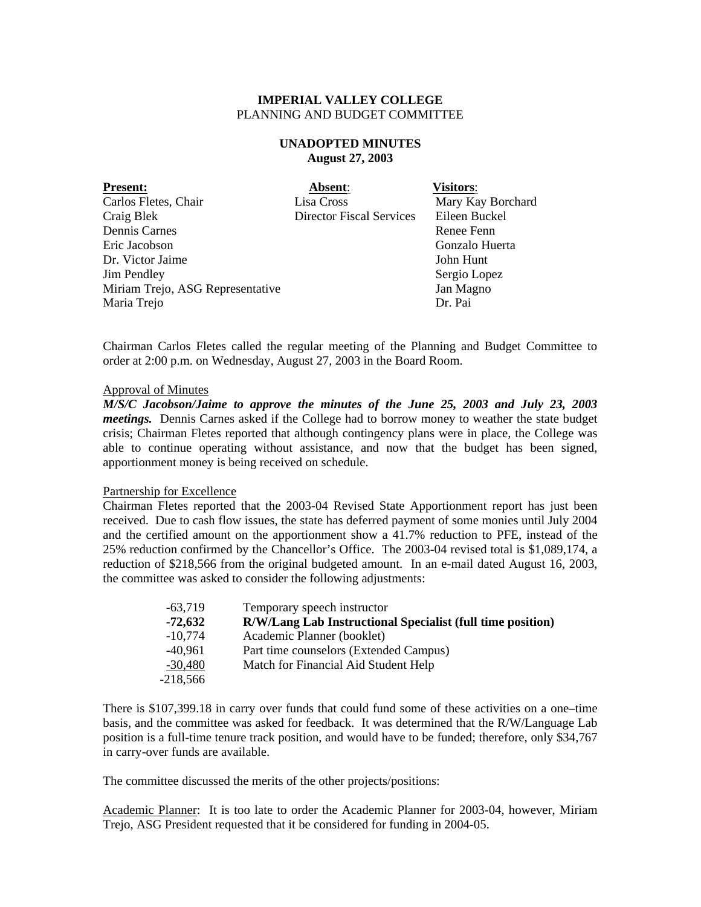# **UNADOPTED MINUTES August 27, 2003**

| Absent:                         | <b>Visitors:</b>  |
|---------------------------------|-------------------|
| Lisa Cross                      | Mary Kay Borchard |
| <b>Director Fiscal Services</b> | Eileen Buckel     |
|                                 | Renee Fenn        |
|                                 | Gonzalo Huerta    |
|                                 | John Hunt         |
|                                 | Sergio Lopez      |
|                                 | Jan Magno         |
|                                 | Dr. Pai           |
|                                 |                   |

Chairman Carlos Fletes called the regular meeting of the Planning and Budget Committee to order at 2:00 p.m. on Wednesday, August 27, 2003 in the Board Room.

#### Approval of Minutes

*M/S/C Jacobson/Jaime to approve the minutes of the June 25, 2003 and July 23, 2003 meetings.* Dennis Carnes asked if the College had to borrow money to weather the state budget crisis; Chairman Fletes reported that although contingency plans were in place, the College was able to continue operating without assistance, and now that the budget has been signed, apportionment money is being received on schedule.

#### Partnership for Excellence

Chairman Fletes reported that the 2003-04 Revised State Apportionment report has just been received. Due to cash flow issues, the state has deferred payment of some monies until July 2004 and the certified amount on the apportionment show a 41.7% reduction to PFE, instead of the 25% reduction confirmed by the Chancellor's Office. The 2003-04 revised total is \$1,089,174, a reduction of \$218,566 from the original budgeted amount. In an e-mail dated August 16, 2003, the committee was asked to consider the following adjustments:

| $-63,719$  | Temporary speech instructor                                |
|------------|------------------------------------------------------------|
| $-72,632$  | R/W/Lang Lab Instructional Specialist (full time position) |
| $-10,774$  | Academic Planner (booklet)                                 |
| $-40.961$  | Part time counselors (Extended Campus)                     |
| $-30,480$  | Match for Financial Aid Student Help                       |
| $-218,566$ |                                                            |

There is \$107,399.18 in carry over funds that could fund some of these activities on a one–time basis, and the committee was asked for feedback. It was determined that the R/W/Language Lab position is a full-time tenure track position, and would have to be funded; therefore, only \$34,767 in carry-over funds are available.

The committee discussed the merits of the other projects/positions:

Academic Planner: It is too late to order the Academic Planner for 2003-04, however, Miriam Trejo, ASG President requested that it be considered for funding in 2004-05.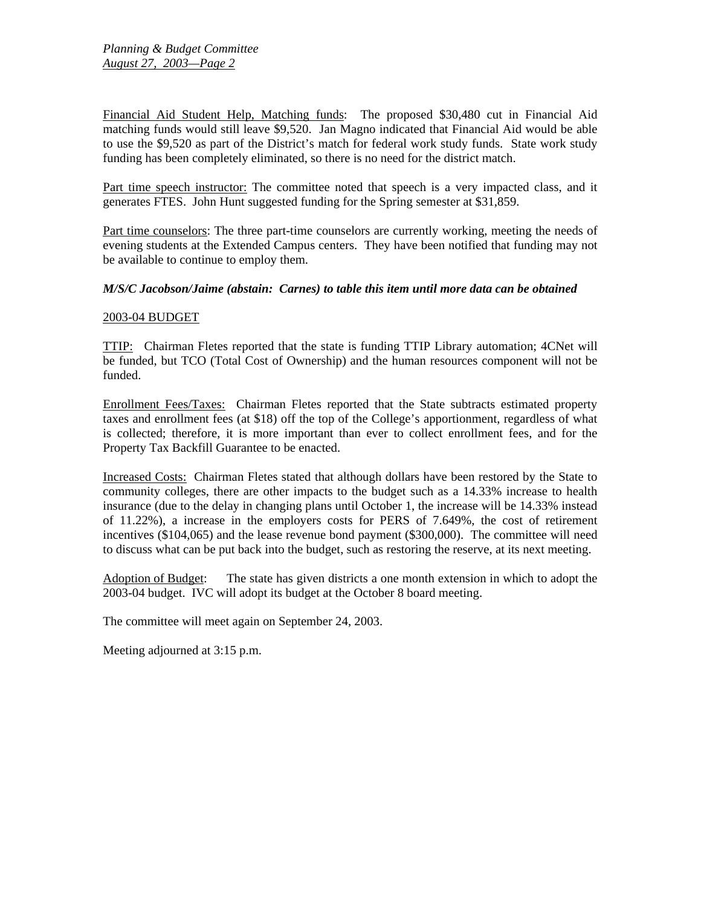Financial Aid Student Help, Matching funds: The proposed \$30,480 cut in Financial Aid matching funds would still leave \$9,520. Jan Magno indicated that Financial Aid would be able to use the \$9,520 as part of the District's match for federal work study funds. State work study funding has been completely eliminated, so there is no need for the district match.

Part time speech instructor: The committee noted that speech is a very impacted class, and it generates FTES. John Hunt suggested funding for the Spring semester at \$31,859.

Part time counselors: The three part-time counselors are currently working, meeting the needs of evening students at the Extended Campus centers. They have been notified that funding may not be available to continue to employ them.

### *M/S/C Jacobson/Jaime (abstain: Carnes) to table this item until more data can be obtained*

### 2003-04 BUDGET

TTIP: Chairman Fletes reported that the state is funding TTIP Library automation; 4CNet will be funded, but TCO (Total Cost of Ownership) and the human resources component will not be funded.

Enrollment Fees/Taxes: Chairman Fletes reported that the State subtracts estimated property taxes and enrollment fees (at \$18) off the top of the College's apportionment, regardless of what is collected; therefore, it is more important than ever to collect enrollment fees, and for the Property Tax Backfill Guarantee to be enacted.

Increased Costs: Chairman Fletes stated that although dollars have been restored by the State to community colleges, there are other impacts to the budget such as a 14.33% increase to health insurance (due to the delay in changing plans until October 1, the increase will be 14.33% instead of 11.22%), a increase in the employers costs for PERS of 7.649%, the cost of retirement incentives (\$104,065) and the lease revenue bond payment (\$300,000). The committee will need to discuss what can be put back into the budget, such as restoring the reserve, at its next meeting.

Adoption of Budget: The state has given districts a one month extension in which to adopt the 2003-04 budget. IVC will adopt its budget at the October 8 board meeting.

The committee will meet again on September 24, 2003.

Meeting adjourned at 3:15 p.m.